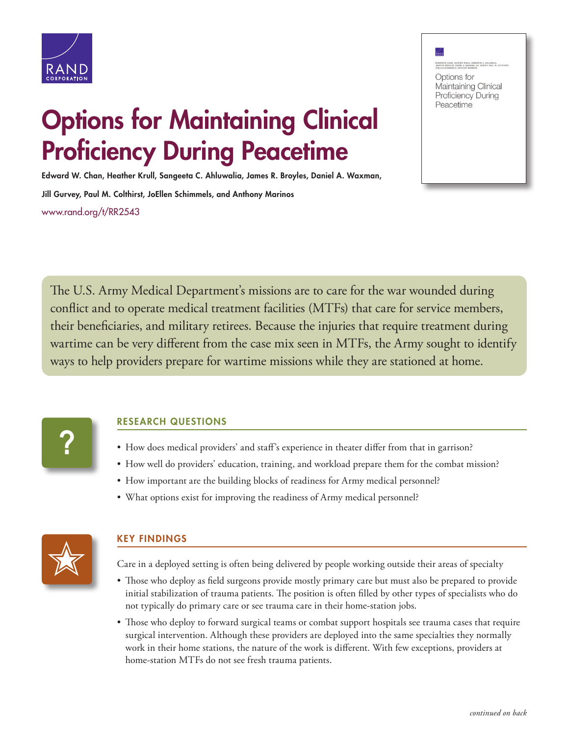



## Options for Maintaining Clinical Proficiency During Peacetime

Edward W. Chan, Heather Krull, Sangeeta C. Ahluwalia, James R. Broyles, Daniel A. Waxman,

Jill Gurvey, Paul M. Colthirst, JoEllen Schimmels, and Anthony Marinos [www.rand.org/t/RR2543](http://www.rand.org/t/RR2543)

The U.S. Army Medical Department's missions are to care for the war wounded during conflict and to operate medical treatment facilities (MTFs) that care for service members, their beneficiaries, and military retirees. Because the injuries that require treatment during wartime can be very different from the case mix seen in MTFs, the Army sought to identify ways to help providers prepare for wartime missions while they are stationed at home.



## RESEARCH QUESTIONS

- How does medical providers' and staff's experience in theater differ from that in garrison?
- How well do providers' education, training, and workload prepare them for the combat mission?
- How important are the building blocks of readiness for Army medical personnel?
- What options exist for improving the readiness of Army medical personnel?



## KEY FINDINGS

Care in a deployed setting is often being delivered by people working outside their areas of specialty

- Those who deploy as field surgeons provide mostly primary care but must also be prepared to provide initial stabilization of trauma patients. The position is often filled by other types of specialists who do not typically do primary care or see trauma care in their home-station jobs.
- Those who deploy to forward surgical teams or combat support hospitals see trauma cases that require surgical intervention. Although these providers are deployed into the same specialties they normally work in their home stations, the nature of the work is different. With few exceptions, providers at home-station MTFs do not see fresh trauma patients.